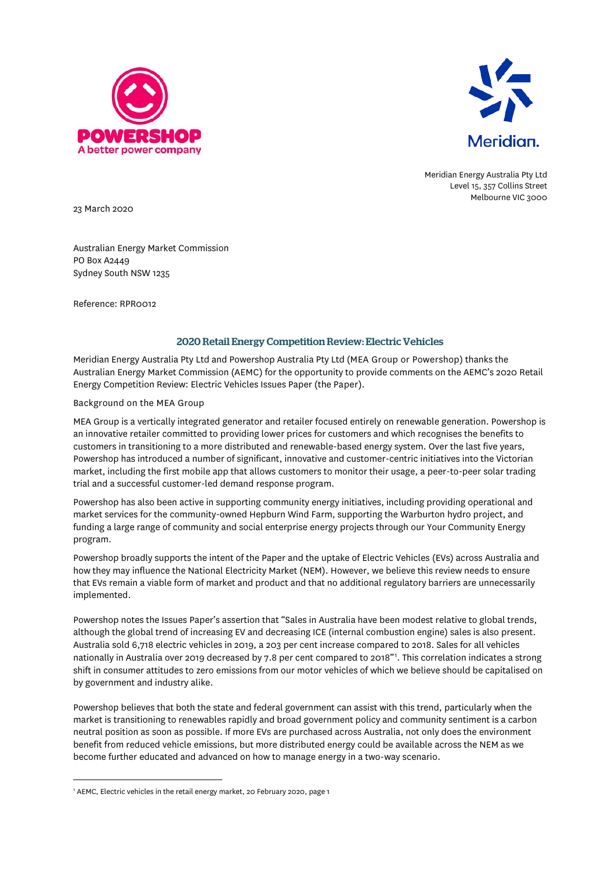



Meridian Energy Australia Pty Ltd Level 15, 357 Collins Street Melbourne VIC 3000

23 March 2020

Australian Energy Market Commission PO Box A2449 Sydney South NSW 1235

Reference: RPR0012

## 2020 Retail Energy Competition Review: Electric Vehicles

Meridian Energy Australia Pty Ltd and Powershop Australia Pty Ltd (MEA Group or Powershop) thanks the Australian Energy Market Commission (AEMC) for the opportunity to provide comments on the AEMC's 2020 Retail Energy Competition Review: Electric Vehicles Issues Paper (the Paper).

## Background on the MEA Group

MEA Group is a vertically integrated generator and retailer focused entirely on renewable generation. Powershop is an innovative retailer committed to providing lower prices for customers and which recognises the benefits to customers in transitioning to a more distributed and renewable-based energy system. Over the last five years, Powershop has introduced a number of significant, innovative and customer-centric initiatives into the Victorian market, including the first mobile app that allows customers to monitor their usage, a peer-to-peer solar trading trial and a successful customer-led demand response program.

Powershop has also been active in supporting community energy initiatives, including providing operational and market services for the community-owned Hepburn Wind Farm, supporting the Warburton hydro project, and funding a large range of community and social enterprise energy projects through our Your Community Energy program.

Powershop broadly supports the intent of the Paper and the uptake of Electric Vehicles (EVs) across Australia and how they may influence the National Electricity Market (NEM). However, we believe this review needs to ensure that EVs remain a viable form of market and product and that no additional regulatory barriers are unnecessarily implemented.

Powershop notes the Issues Paper's assertion that "Sales in Australia have been modest relative to global trends, although the global trend of increasing EV and decreasing ICE (internal combustion engine) sales is also present. Australia sold 6,718 electric vehicles in 2019, a 203 per cent increase compared to 2018. Sales for all vehicles nationally in Australia over 2019 decreased by 7.8 per cent compared to 2018"[1](#page-0-0) . This correlation indicates a strong shift in consumer attitudes to zero emissions from our motor vehicles of which we believe should be capitalised on by government and industry alike.

Powershop believes that both the state and federal government can assist with this trend, particularly when the market is transitioning to renewables rapidly and broad government policy and community sentiment is a carbon neutral position as soon as possible. If more EVs are purchased across Australia, not only does the environment benefit from reduced vehicle emissions, but more distributed energy could be available across the NEM as we become further educated and advanced on how to manage energy in a two-way scenario.

<span id="page-0-0"></span><sup>&</sup>lt;sup>1</sup> AEMC, Electric vehicles in the retail energy market, 20 February 2020, page 1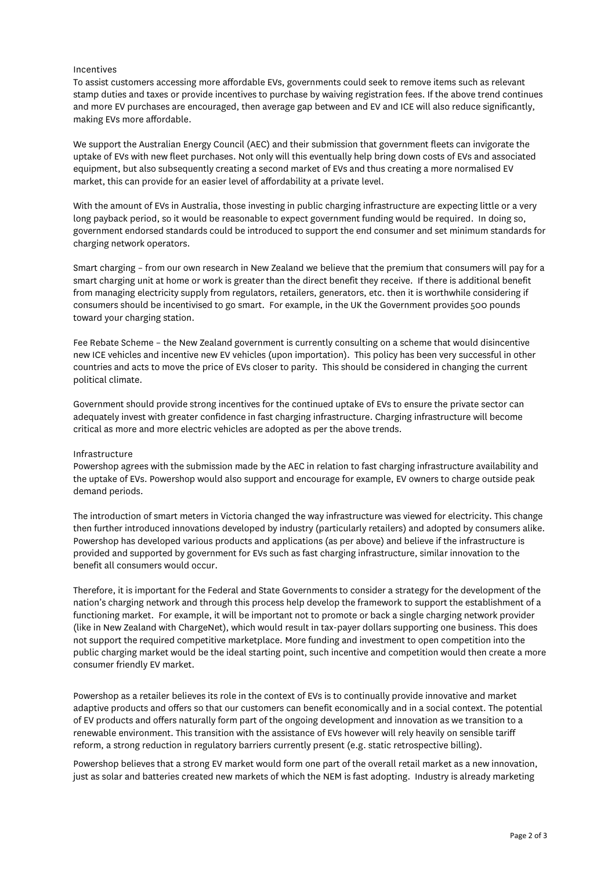## Incentives

To assist customers accessing more affordable EVs, governments could seek to remove items such as relevant stamp duties and taxes or provide incentives to purchase by waiving registration fees. If the above trend continues and more EV purchases are encouraged, then average gap between and EV and ICE will also reduce significantly, making EVs more affordable.

We support the Australian Energy Council (AEC) and their submission that government fleets can invigorate the uptake of EVs with new fleet purchases. Not only will this eventually help bring down costs of EVs and associated equipment, but also subsequently creating a second market of EVs and thus creating a more normalised EV market, this can provide for an easier level of affordability at a private level.

With the amount of EVs in Australia, those investing in public charging infrastructure are expecting little or a very long payback period, so it would be reasonable to expect government funding would be required. In doing so, government endorsed standards could be introduced to support the end consumer and set minimum standards for charging network operators.

Smart charging – from our own research in New Zealand we believe that the premium that consumers will pay for a smart charging unit at home or work is greater than the direct benefit they receive. If there is additional benefit from managing electricity supply from regulators, retailers, generators, etc. then it is worthwhile considering if consumers should be incentivised to go smart. For example, in the UK the Government provides 500 pounds toward your charging station.

Fee Rebate Scheme – the New Zealand government is currently consulting on a scheme that would disincentive new ICE vehicles and incentive new EV vehicles (upon importation). This policy has been very successful in other countries and acts to move the price of EVs closer to parity. This should be considered in changing the current political climate.

Government should provide strong incentives for the continued uptake of EVs to ensure the private sector can adequately invest with greater confidence in fast charging infrastructure. Charging infrastructure will become critical as more and more electric vehicles are adopted as per the above trends.

## Infrastructure

Powershop agrees with the submission made by the AEC in relation to fast charging infrastructure availability and the uptake of EVs. Powershop would also support and encourage for example, EV owners to charge outside peak demand periods.

The introduction of smart meters in Victoria changed the way infrastructure was viewed for electricity. This change then further introduced innovations developed by industry (particularly retailers) and adopted by consumers alike. Powershop has developed various products and applications (as per above) and believe if the infrastructure is provided and supported by government for EVs such as fast charging infrastructure, similar innovation to the benefit all consumers would occur.

Therefore, it is important for the Federal and State Governments to consider a strategy for the development of the nation's charging network and through this process help develop the framework to support the establishment of a functioning market. For example, it will be important not to promote or back a single charging network provider (like in New Zealand with ChargeNet), which would result in tax-payer dollars supporting one business. This does not support the required competitive marketplace. More funding and investment to open competition into the public charging market would be the ideal starting point, such incentive and competition would then create a more consumer friendly EV market.

Powershop as a retailer believes its role in the context of EVs is to continually provide innovative and market adaptive products and offers so that our customers can benefit economically and in a social context. The potential of EV products and offers naturally form part of the ongoing development and innovation as we transition to a renewable environment. This transition with the assistance of EVs however will rely heavily on sensible tariff reform, a strong reduction in regulatory barriers currently present (e.g. static retrospective billing).

Powershop believes that a strong EV market would form one part of the overall retail market as a new innovation, just as solar and batteries created new markets of which the NEM is fast adopting. Industry is already marketing